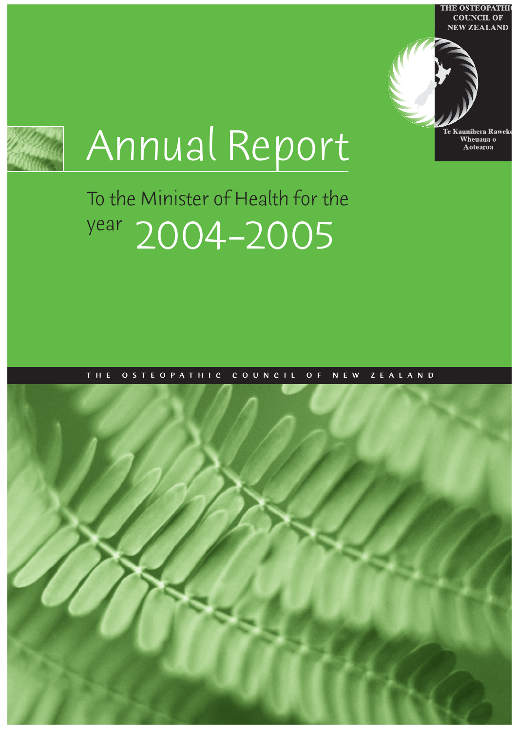TEOPATHI **COUNCIL OF NEW ZEALAND** 







# Annual Report

## To the Minister of Health for the year 2004–2005

THE OSTEOPATHIC COUNCIL OF NEW ZEALAND

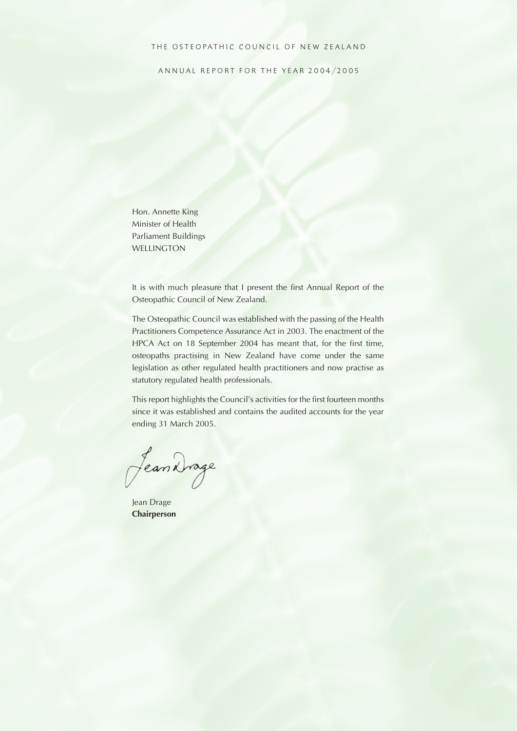#### THE OSTEOPATHIC COUNCIL OF NEW ZEALAND

ANNUAL REPORT FOR THE YEAR 2004/2005

Hon. Annette King Minister of Health Parliament Buildings WELLINGTON

It is with much pleasure that I present the first Annual Report of the Osteopathic Council of New Zealand.

The Osteopathic Council was established with the passing of the Health Practitioners Competence Assurance Act in 2003. The enactment of the HPCA Act on 18 September 2004 has meant that, for the first time, osteopaths practising in New Zealand have come under the same legislation as other regulated health practitioners and now practise as statutory regulated health professionals.

This report highlights the Council's activities for the first fourteen months since it was established and contains the audited accounts for the year ending 31 March 2005.

Jean Drage

Jean Drage **Chairperson**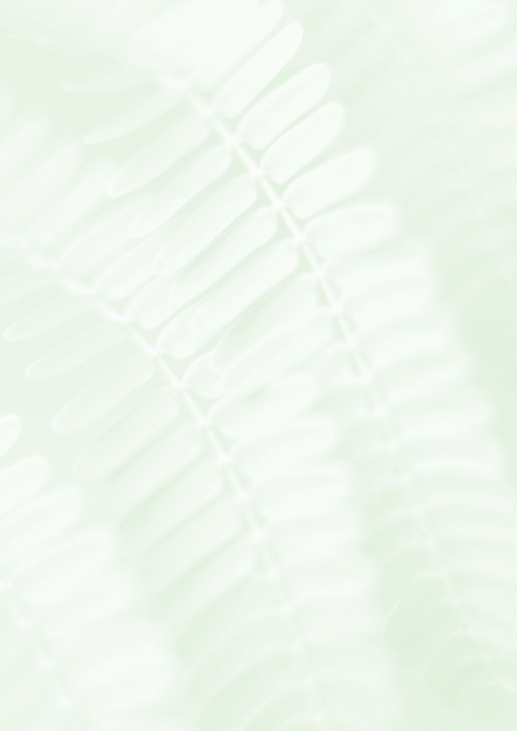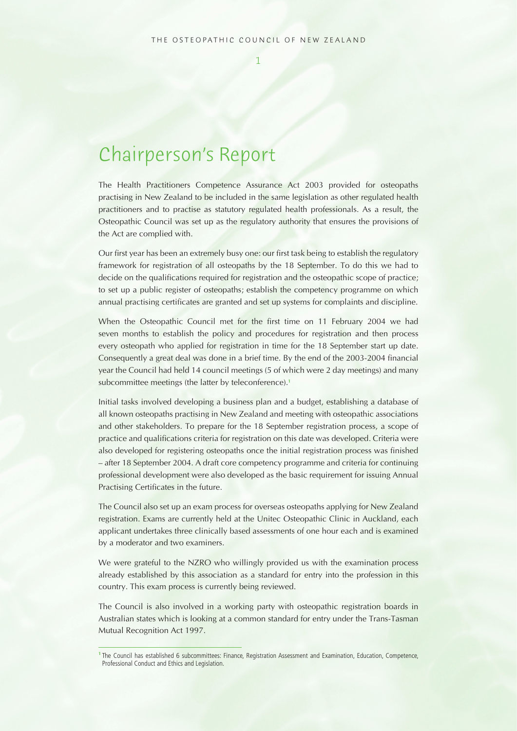## Chairperson's Report

The Health Practitioners Competence Assurance Act 2003 provided for osteopaths practising in New Zealand to be included in the same legislation as other regulated health practitioners and to practise as statutory regulated health professionals. As a result, the Osteopathic Council was set up as the regulatory authority that ensures the provisions of the Act are complied with.

Our first year has been an extremely busy one: our first task being to establish the regulatory framework for registration of all osteopaths by the 18 September. To do this we had to decide on the qualifications required for registration and the osteopathic scope of practice; to set up a public register of osteopaths; establish the competency programme on which annual practising certificates are granted and set up systems for complaints and discipline.

When the Osteopathic Council met for the first time on 11 February 2004 we had seven months to establish the policy and procedures for registration and then process every osteopath who applied for registration in time for the 18 September start up date. Consequently a great deal was done in a brief time. By the end of the 2003-2004 financial year the Council had held 14 council meetings (5 of which were 2 day meetings) and many subcommittee meetings (the latter by teleconference).**<sup>1</sup>**

Initial tasks involved developing a business plan and a budget, establishing a database of all known osteopaths practising in New Zealand and meeting with osteopathic associations and other stakeholders. To prepare for the 18 September registration process, a scope of practice and qualifications criteria for registration on this date was developed. Criteria were also developed for registering osteopaths once the initial registration process was finished – after 18 September 2004. A draft core competency programme and criteria for continuing professional development were also developed as the basic requirement for issuing Annual Practising Certificates in the future.

The Council also set up an exam process for overseas osteopaths applying for New Zealand registration. Exams are currently held at the Unitec Osteopathic Clinic in Auckland, each applicant undertakes three clinically based assessments of one hour each and is examined by a moderator and two examiners.

We were grateful to the NZRO who willingly provided us with the examination process already established by this association as a standard for entry into the profession in this country. This exam process is currently being reviewed.

The Council is also involved in a working party with osteopathic registration boards in Australian states which is looking at a common standard for entry under the Trans-Tasman Mutual Recognition Act 1997.

**<sup>1</sup>**The Council has established 6 subcommittees: Finance, Registration Assessment and Examination, Education, Competence, Professional Conduct and Ethics and Legislation.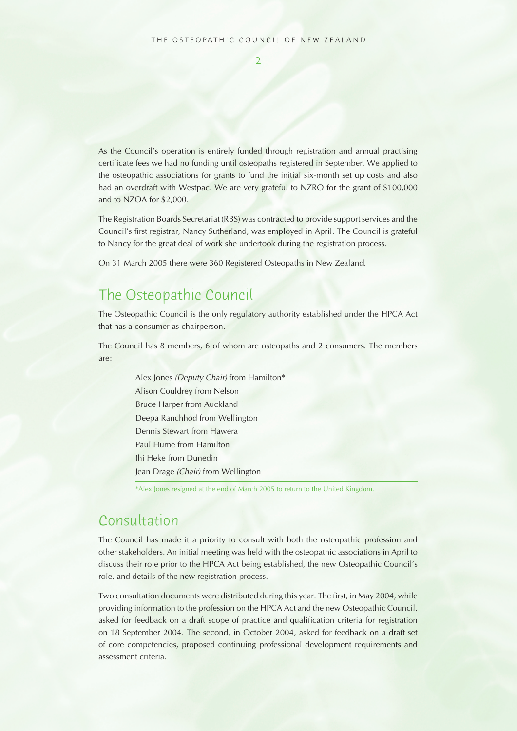As the Council's operation is entirely funded through registration and annual practising certificate fees we had no funding until osteopaths registered in September. We applied to the osteopathic associations for grants to fund the initial six-month set up costs and also had an overdraft with Westpac. We are very grateful to NZRO for the grant of \$100,000 and to NZOA for \$2,000.

The Registration Boards Secretariat (RBS) was contracted to provide support services and the Council's first registrar, Nancy Sutherland, was employed in April. The Council is grateful to Nancy for the great deal of work she undertook during the registration process.

On 31 March 2005 there were 360 Registered Osteopaths in New Zealand.

## The Osteopathic Council

The Osteopathic Council is the only regulatory authority established under the HPCA Act that has a consumer as chairperson.

The Council has 8 members, 6 of whom are osteopaths and 2 consumers. The members are:

> Alex Jones (Deputy Chair) from Hamilton\* Alison Couldrey from Nelson Bruce Harper from Auckland Deepa Ranchhod from Wellington Dennis Stewart from Hawera Paul Hume from Hamilton Ihi Heke from Dunedin Jean Drage (Chair) from Wellington

\*Alex Jones resigned at the end of March 2005 to return to the United Kingdom.

## Consultation

The Council has made it a priority to consult with both the osteopathic profession and other stakeholders. An initial meeting was held with the osteopathic associations in April to discuss their role prior to the HPCA Act being established, the new Osteopathic Council's role, and details of the new registration process.

Two consultation documents were distributed during this year. The first, in May 2004, while providing information to the profession on the HPCA Act and the new Osteopathic Council, asked for feedback on a draft scope of practice and qualification criteria for registration on 18 September 2004. The second, in October 2004, asked for feedback on a draft set of core competencies, proposed continuing professional development requirements and assessment criteria.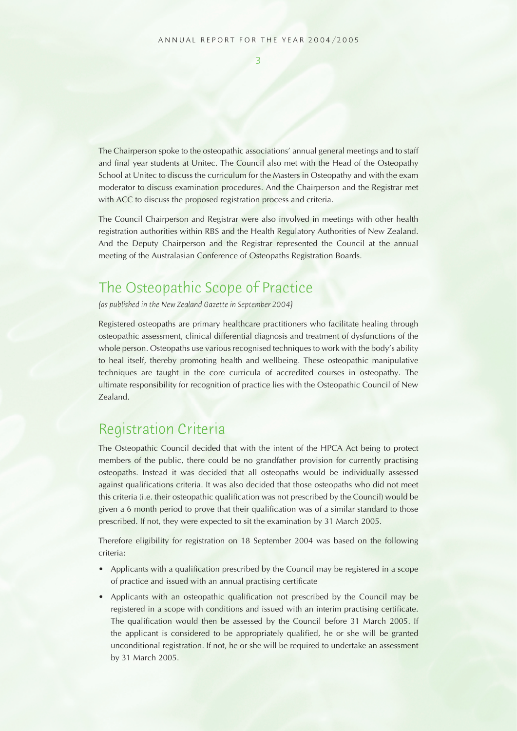The Chairperson spoke to the osteopathic associations' annual general meetings and to staff and final year students at Unitec. The Council also met with the Head of the Osteopathy School at Unitec to discuss the curriculum for the Masters in Osteopathy and with the exam moderator to discuss examination procedures. And the Chairperson and the Registrar met with ACC to discuss the proposed registration process and criteria.

The Council Chairperson and Registrar were also involved in meetings with other health registration authorities within RBS and the Health Regulatory Authorities of New Zealand. And the Deputy Chairperson and the Registrar represented the Council at the annual meeting of the Australasian Conference of Osteopaths Registration Boards.

## The Osteopathic Scope of Practice

*(as published in the New Zealand Gazette in September 2004)*

Registered osteopaths are primary healthcare practitioners who facilitate healing through osteopathic assessment, clinical differential diagnosis and treatment of dysfunctions of the whole person. Osteopaths use various recognised techniques to work with the body's ability to heal itself, thereby promoting health and wellbeing. These osteopathic manipulative techniques are taught in the core curricula of accredited courses in osteopathy. The ultimate responsibility for recognition of practice lies with the Osteopathic Council of New Zealand.

## Registration Criteria

The Osteopathic Council decided that with the intent of the HPCA Act being to protect members of the public, there could be no grandfather provision for currently practising osteopaths. Instead it was decided that all osteopaths would be individually assessed against qualifications criteria. It was also decided that those osteopaths who did not meet this criteria (i.e. their osteopathic qualification was not prescribed by the Council) would be given a 6 month period to prove that their qualification was of a similar standard to those prescribed. If not, they were expected to sit the examination by 31 March 2005.

Therefore eligibility for registration on 18 September 2004 was based on the following criteria:

- Applicants with a qualification prescribed by the Council may be registered in a scope of practice and issued with an annual practising certificate
- Applicants with an osteopathic qualification not prescribed by the Council may be registered in a scope with conditions and issued with an interim practising certificate. The qualification would then be assessed by the Council before 31 March 2005. If the applicant is considered to be appropriately qualified, he or she will be granted unconditional registration. If not, he or she will be required to undertake an assessment by 31 March 2005.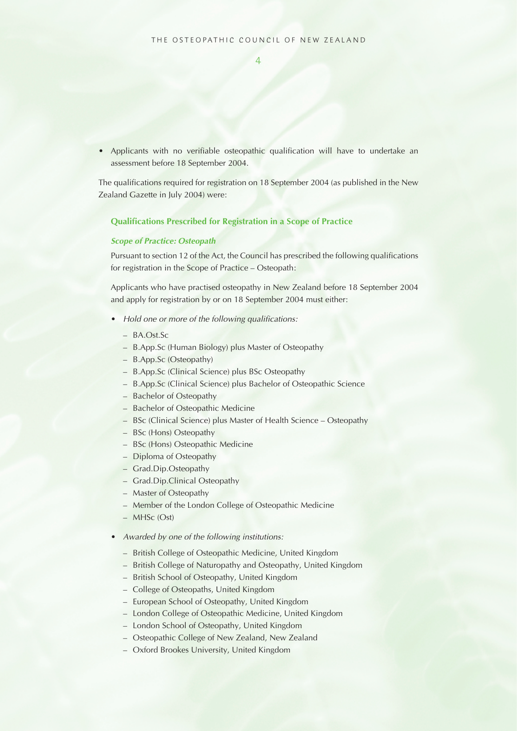$\Delta$ 

• Applicants with no verifiable osteopathic qualification will have to undertake an assessment before 18 September 2004.

The qualifications required for registration on 18 September 2004 (as published in the New Zealand Gazette in July 2004) were:

#### **Qualifications Prescribed for Registration in a Scope of Practice**

#### **Scope of Practice: Osteopath**

Pursuant to section 12 of the Act, the Council has prescribed the following qualifications for registration in the Scope of Practice – Osteopath:

Applicants who have practised osteopathy in New Zealand before 18 September 2004 and apply for registration by or on 18 September 2004 must either:

- Hold one or more of the following qualifications:
	- BA.Ost.Sc
	- B.App.Sc (Human Biology) plus Master of Osteopathy
	- B.App.Sc (Osteopathy)
	- B.App.Sc (Clinical Science) plus BSc Osteopathy
	- B.App.Sc (Clinical Science) plus Bachelor of Osteopathic Science
	- Bachelor of Osteopathy
	- Bachelor of Osteopathic Medicine
	- BSc (Clinical Science) plus Master of Health Science Osteopathy
	- BSc (Hons) Osteopathy
	- BSc (Hons) Osteopathic Medicine
	- Diploma of Osteopathy
	- Grad.Dip.Osteopathy
	- Grad.Dip.Clinical Osteopathy
	- Master of Osteopathy
	- Member of the London College of Osteopathic Medicine
	- MHSc (Ost)
- Awarded by one of the following institutions:
	- British College of Osteopathic Medicine, United Kingdom
	- British College of Naturopathy and Osteopathy, United Kingdom
	- British School of Osteopathy, United Kingdom
	- College of Osteopaths, United Kingdom
	- European School of Osteopathy, United Kingdom
	- London College of Osteopathic Medicine, United Kingdom
	- London School of Osteopathy, United Kingdom
	- Osteopathic College of New Zealand, New Zealand
	- Oxford Brookes University, United Kingdom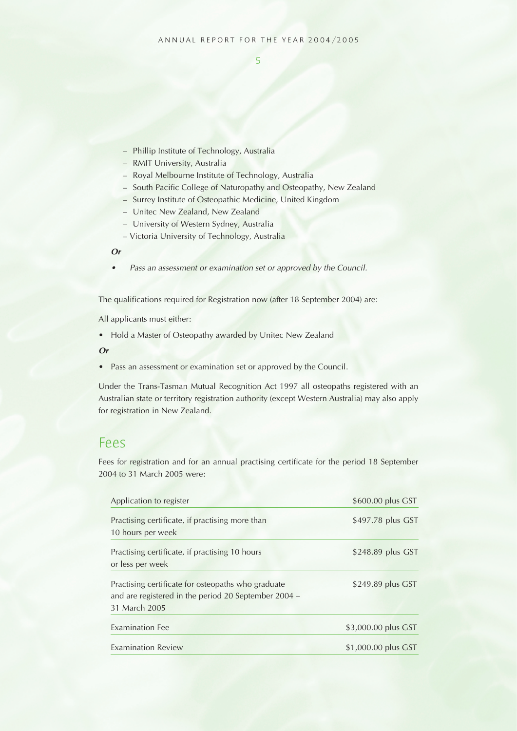- Phillip Institute of Technology, Australia
- RMIT University, Australia
- Royal Melbourne Institute of Technology, Australia
- South Pacific College of Naturopathy and Osteopathy, New Zealand
- Surrey Institute of Osteopathic Medicine, United Kingdom
- Unitec New Zealand, New Zealand
- University of Western Sydney, Australia
- Victoria University of Technology, Australia

**Or**

• Pass an assessment or examination set or approved by the Council.

The qualifications required for Registration now (after 18 September 2004) are:

All applicants must either:

• Hold a Master of Osteopathy awarded by Unitec New Zealand

**Or**

• Pass an assessment or examination set or approved by the Council.

Under the Trans-Tasman Mutual Recognition Act 1997 all osteopaths registered with an Australian state or territory registration authority (except Western Australia) may also apply for registration in New Zealand.

#### Fees

Fees for registration and for an annual practising certificate for the period 18 September 2004 to 31 March 2005 were:

| Application to register                                                                                                     | \$600.00 plus GST   |
|-----------------------------------------------------------------------------------------------------------------------------|---------------------|
| Practising certificate, if practising more than                                                                             | \$497.78 plus GST   |
| 10 hours per week                                                                                                           |                     |
| Practising certificate, if practising 10 hours<br>or less per week                                                          | \$248.89 plus GST   |
| Practising certificate for osteopaths who graduate<br>and are registered in the period 20 September 2004 –<br>31 March 2005 | \$249.89 plus GST   |
|                                                                                                                             |                     |
| <b>Examination Fee</b>                                                                                                      | \$3,000.00 plus GST |
| <b>Examination Review</b>                                                                                                   | \$1,000.00 plus GST |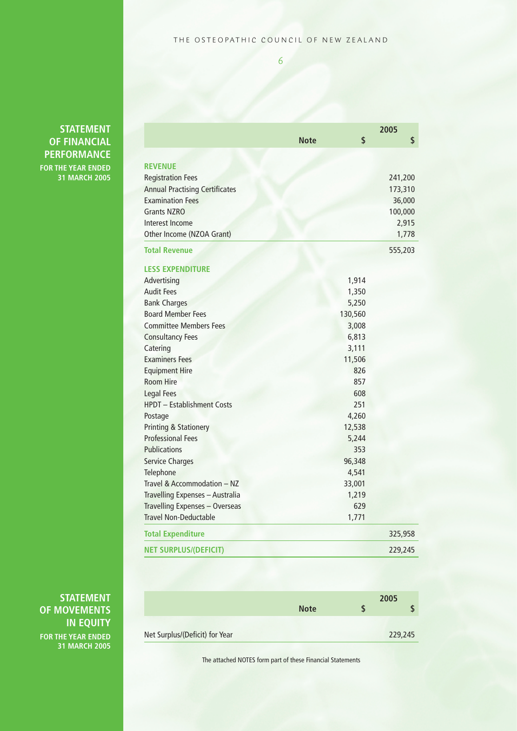#### THE OSTEOPATHIC COUNCIL OF NEW ZEALAND

6

 **2005**

#### **STATEMENT OF FINANCIAL PERFORMANCE FOR THE YEAR ENDED 31 MARCH 2005**

|                                       | <b>Note</b> | \$<br>\$ |
|---------------------------------------|-------------|----------|
|                                       |             |          |
| <b>REVENUE</b>                        |             |          |
| <b>Registration Fees</b>              |             | 241,200  |
| <b>Annual Practising Certificates</b> |             | 173,310  |
| <b>Examination Fees</b>               |             | 36,000   |
| <b>Grants NZRO</b>                    |             | 100,000  |
| Interest Income                       |             | 2,915    |
| Other Income (NZOA Grant)             |             | 1,778    |
| <b>Total Revenue</b>                  |             | 555,203  |
| <b>LESS EXPENDITURE</b>               |             |          |
| Advertising                           | 1,914       |          |
| <b>Audit Fees</b>                     | 1,350       |          |
| <b>Bank Charges</b>                   | 5,250       |          |
| <b>Board Member Fees</b>              | 130,560     |          |
| <b>Committee Members Fees</b>         | 3,008       |          |
| <b>Consultancy Fees</b>               | 6,813       |          |
| Catering                              | 3,111       |          |
| <b>Examiners Fees</b>                 | 11,506      |          |
| <b>Equipment Hire</b>                 |             | 826      |
| <b>Room Hire</b>                      |             | 857      |
| <b>Legal Fees</b>                     |             | 608      |
| <b>HPDT - Establishment Costs</b>     |             | 251      |
| Postage                               | 4,260       |          |
| <b>Printing &amp; Stationery</b>      | 12,538      |          |
| <b>Professional Fees</b>              | 5,244       |          |
| <b>Publications</b>                   |             | 353      |
| <b>Service Charges</b>                | 96,348      |          |
| Telephone                             | 4,541       |          |
| Travel & Accommodation - NZ           | 33,001      |          |
| Travelling Expenses - Australia       | 1,219       |          |
| Travelling Expenses - Overseas        |             | 629      |
| <b>Travel Non-Deductable</b>          | 1,771       |          |
| <b>Total Expenditure</b>              |             | 325,958  |
| <b>NET SURPLUS/(DEFICIT)</b>          |             | 229,245  |
|                                       |             |          |

**STATEMENT OF MOVEMENTS IN EQUITY FOR THE YEAR ENDED 31 MARCH 2005**

|                                |             | 2005 |         |
|--------------------------------|-------------|------|---------|
|                                | <b>Note</b> |      |         |
| Net Surplus/(Deficit) for Year |             |      | 229,245 |
|                                |             |      |         |

The attached NOTES form part of these Financial Statements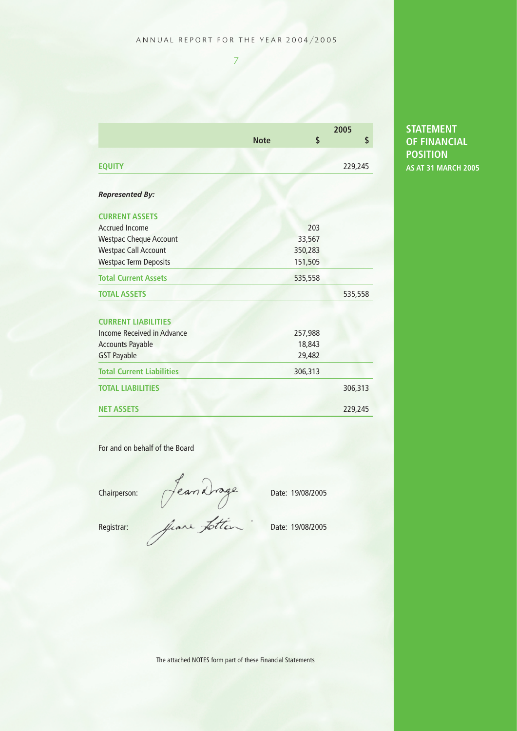#### ANNUAL REPORT FOR THE YEAR 2004/2005

7

|                                   | <b>Note</b> | \$      | 2005<br>\$ |  |
|-----------------------------------|-------------|---------|------------|--|
|                                   |             |         |            |  |
| <b>EQUITY</b>                     |             |         | 229,245    |  |
| <b>Represented By:</b>            |             |         |            |  |
| <b>CURRENT ASSETS</b>             |             |         |            |  |
| <b>Accrued Income</b>             |             | 203     |            |  |
| <b>Westpac Cheque Account</b>     |             | 33,567  |            |  |
| <b>Westpac Call Account</b>       |             | 350,283 |            |  |
| <b>Westpac Term Deposits</b>      |             | 151,505 |            |  |
| <b>Total Current Assets</b>       |             | 535,558 |            |  |
| <b>TOTAL ASSETS</b>               |             |         | 535,558    |  |
| <b>CURRENT LIABILITIES</b>        |             |         |            |  |
| <b>Income Received in Advance</b> |             | 257,988 |            |  |
| <b>Accounts Payable</b>           |             | 18,843  |            |  |
| <b>GST Payable</b>                |             | 29,482  |            |  |
| <b>Total Current Liabilities</b>  |             | 306,313 |            |  |
| <b>TOTAL LIABILITIES</b>          |             |         | 306,313    |  |
| <b>NET ASSETS</b>                 |             |         | 229,245    |  |

For and on behalf of the Board

Chairperson:  $\bigcap \mathcal{C}$  an  $\mathcal{K}$  range Date: 19/08/2005

Registrar:  $\mu$ are  $\chi$ Ollen Date: 19/08/2005

**STATEMENT OF FINANCIAL POSITION AS AT 31 MARCH 2005**

The attached NOTES form part of these Financial Statements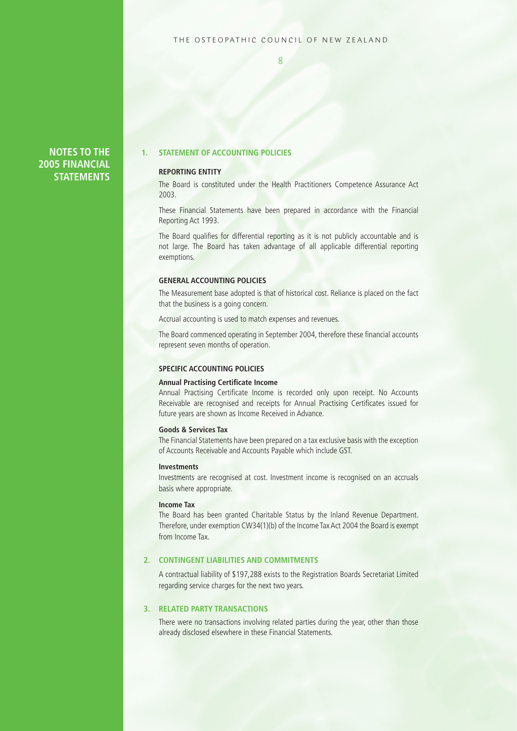#### THE OSTEOPATHIC COUNCIL OF NEW ZEALAND

8

#### **NOTES TO THE 2005 FINANCIAL STATEMENTS**

#### **STATEMENT OF ACCOUNTING POLICIES**

#### **REPORTING ENTITY**

The Board is constituted under the Health Practitioners Competence Assurance Act 2003.

These Financial Statements have been prepared in accordance with the Financial Reporting Act 1993.

The Board qualifies for differential reporting as it is not publicly accountable and is not large. The Board has taken advantage of all applicable differential reporting exemptions.

#### **GENERAL ACCOUNTING POLICIES**

The Measurement base adopted is that of historical cost. Reliance is placed on the fact that the business is a going concern.

Accrual accounting is used to match expenses and revenues.

The Board commenced operating in September 2004, therefore these financial accounts represent seven months of operation.

#### **SPECIFIC ACCOUNTING POLICIES**

#### **Annual Practising Certificate Income**

Annual Practising Certificate Income is recorded only upon receipt. No Accounts Receivable are recognised and receipts for Annual Practising Certificates issued for future years are shown as Income Received in Advance.

#### **Goods & Services Tax**

The Financial Statements have been prepared on a tax exclusive basis with the exception of Accounts Receivable and Accounts Payable which include GST.

#### **Investments**

Investments are recognised at cost. Investment income is recognised on an accruals basis where appropriate.

#### **Income Tax**

The Board has been granted Charitable Status by the Inland Revenue Department. Therefore, under exemption CW34(1)(b) of the Income Tax Act 2004 the Board is exempt from Income Tax.

#### **2. CONTINGENT LIABILITIES AND COMMITMENTS**

A contractual liability of \$197,288 exists to the Registration Boards Secretariat Limited regarding service charges for the next two years.

#### **3. RELATED PARTY TRANSACTIONS**

There were no transactions involving related parties during the year, other than those already disclosed elsewhere in these Financial Statements.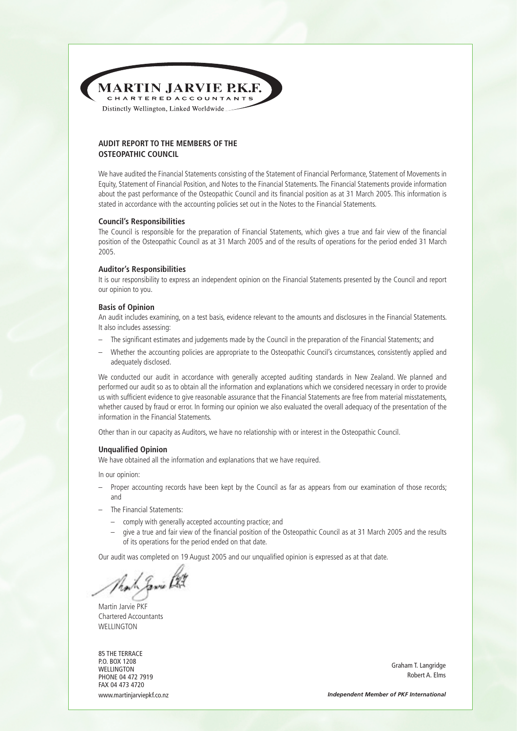

#### **AUDIT REPORT TO THE MEMBERS OF THE OSTEOPATHIC COUNCIL**

We have audited the Financial Statements consisting of the Statement of Financial Performance, Statement of Movements in Equity, Statement of Financial Position, and Notes to the Financial Statements. The Financial Statements provide information about the past performance of the Osteopathic Council and its financial position as at 31 March 2005. This information is stated in accordance with the accounting policies set out in the Notes to the Financial Statements.

#### **Council's Responsibilities**

The Council is responsible for the preparation of Financial Statements, which gives a true and fair view of the financial position of the Osteopathic Council as at 31 March 2005 and of the results of operations for the period ended 31 March 2005.

#### **Auditor's Responsibilities**

It is our responsibility to express an independent opinion on the Financial Statements presented by the Council and report our opinion to you.

#### **Basis of Opinion**

An audit includes examining, on a test basis, evidence relevant to the amounts and disclosures in the Financial Statements. It also includes assessing:

- The significant estimates and judgements made by the Council in the preparation of the Financial Statements; and
- Whether the accounting policies are appropriate to the Osteopathic Council's circumstances, consistently applied and adequately disclosed.

We conducted our audit in accordance with generally accepted auditing standards in New Zealand. We planned and performed our audit so as to obtain all the information and explanations which we considered necessary in order to provide us with sufficient evidence to give reasonable assurance that the Financial Statements are free from material misstatements, whether caused by fraud or error. In forming our opinion we also evaluated the overall adequacy of the presentation of the information in the Financial Statements.

Other than in our capacity as Auditors, we have no relationship with or interest in the Osteopathic Council.

#### **Unqualified Opinion**

We have obtained all the information and explanations that we have required.

In our opinion:

- Proper accounting records have been kept by the Council as far as appears from our examination of those records; and
- The Financial Statements:
	- comply with generally accepted accounting practice; and
	- give a true and fair view of the financial position of the Osteopathic Council as at 31 March 2005 and the results of its operations for the period ended on that date.

Our audit was completed on 19 August 2005 and our unqualified opinion is expressed as at that date.

Roch Javie Chit

Martin Jarvie PKF Chartered Accountants WELLINGTON

85 THE TERRACE P.O. BOX 1208 **WELLINGTON** PHONE 04 472 7919 FAX 04 473 4720 www.martinjarviepkf.co.nz

Graham T. Langridge Robert A. Elms

*Independent Member of PKF International*